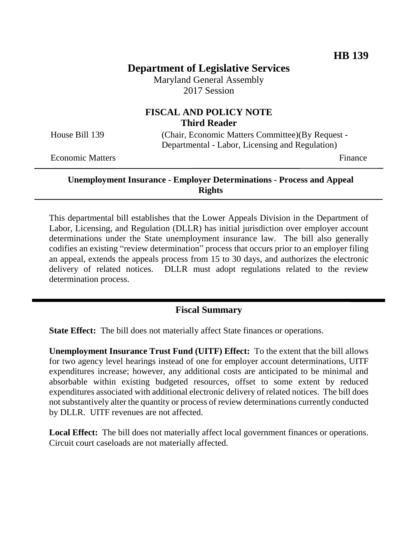# **Department of Legislative Services**

Maryland General Assembly 2017 Session

## **FISCAL AND POLICY NOTE Third Reader**

House Bill 139 (Chair, Economic Matters Committee)(By Request - Departmental - Labor, Licensing and Regulation)

Economic Matters **Finance** 

### **Unemployment Insurance - Employer Determinations - Process and Appeal Rights**

This departmental bill establishes that the Lower Appeals Division in the Department of Labor, Licensing, and Regulation (DLLR) has initial jurisdiction over employer account determinations under the State unemployment insurance law. The bill also generally codifies an existing "review determination" process that occurs prior to an employer filing an appeal, extends the appeals process from 15 to 30 days, and authorizes the electronic delivery of related notices. DLLR must adopt regulations related to the review determination process.

## **Fiscal Summary**

**State Effect:** The bill does not materially affect State finances or operations.

**Unemployment Insurance Trust Fund (UITF) Effect:** To the extent that the bill allows for two agency level hearings instead of one for employer account determinations, UITF expenditures increase; however, any additional costs are anticipated to be minimal and absorbable within existing budgeted resources, offset to some extent by reduced expenditures associated with additional electronic delivery of related notices. The bill does not substantively alter the quantity or process of review determinations currently conducted by DLLR. UITF revenues are not affected.

**Local Effect:** The bill does not materially affect local government finances or operations. Circuit court caseloads are not materially affected.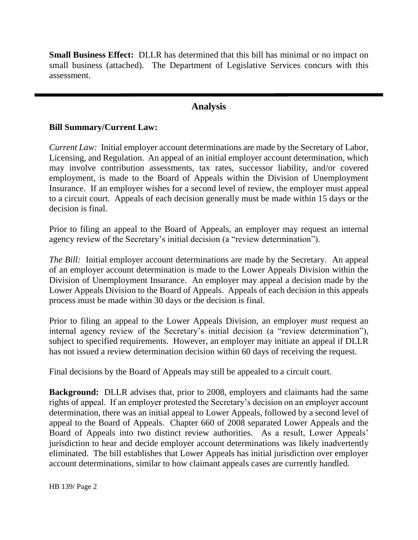**Small Business Effect:** DLLR has determined that this bill has minimal or no impact on small business (attached). The Department of Legislative Services concurs with this assessment.

## **Analysis**

### **Bill Summary/Current Law:**

*Current Law:* Initial employer account determinations are made by the Secretary of Labor, Licensing, and Regulation. An appeal of an initial employer account determination, which may involve contribution assessments, tax rates, successor liability, and/or covered employment, is made to the Board of Appeals within the Division of Unemployment Insurance. If an employer wishes for a second level of review, the employer must appeal to a circuit court. Appeals of each decision generally must be made within 15 days or the decision is final.

Prior to filing an appeal to the Board of Appeals, an employer may request an internal agency review of the Secretary's initial decision (a "review determination").

*The Bill:* Initial employer account determinations are made by the Secretary. An appeal of an employer account determination is made to the Lower Appeals Division within the Division of Unemployment Insurance. An employer may appeal a decision made by the Lower Appeals Division to the Board of Appeals. Appeals of each decision in this appeals process must be made within 30 days or the decision is final.

Prior to filing an appeal to the Lower Appeals Division, an employer *must* request an internal agency review of the Secretary's initial decision (a "review determination"), subject to specified requirements. However, an employer may initiate an appeal if DLLR has not issued a review determination decision within 60 days of receiving the request.

Final decisions by the Board of Appeals may still be appealed to a circuit court.

**Background:** DLLR advises that, prior to 2008, employers and claimants had the same rights of appeal. If an employer protested the Secretary's decision on an employer account determination, there was an initial appeal to Lower Appeals, followed by a second level of appeal to the Board of Appeals. Chapter 660 of 2008 separated Lower Appeals and the Board of Appeals into two distinct review authorities. As a result, Lower Appeals' jurisdiction to hear and decide employer account determinations was likely inadvertently eliminated. The bill establishes that Lower Appeals has initial jurisdiction over employer account determinations, similar to how claimant appeals cases are currently handled.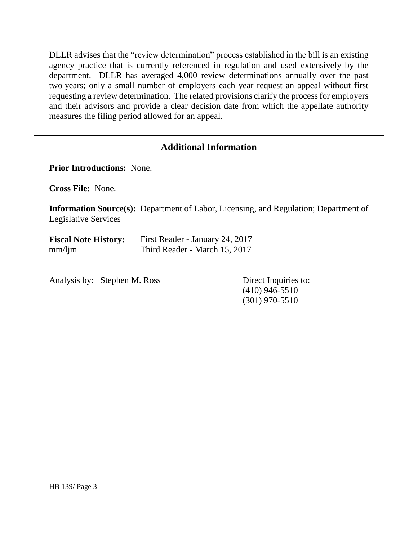DLLR advises that the "review determination" process established in the bill is an existing agency practice that is currently referenced in regulation and used extensively by the department. DLLR has averaged 4,000 review determinations annually over the past two years; only a small number of employers each year request an appeal without first requesting a review determination. The related provisions clarify the process for employers and their advisors and provide a clear decision date from which the appellate authority measures the filing period allowed for an appeal.

## **Additional Information**

**Prior Introductions:** None.

**Cross File:** None.

**Information Source(s):** Department of Labor, Licensing, and Regulation; Department of Legislative Services

| <b>Fiscal Note History:</b> | First Reader - January 24, 2017 |
|-----------------------------|---------------------------------|
| $mm/$ ljm                   | Third Reader - March 15, 2017   |

Analysis by: Stephen M. Ross Direct Inquiries to:

(410) 946-5510 (301) 970-5510